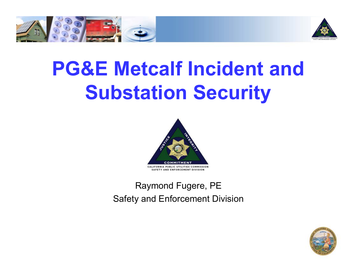



# **PG&E Metcalf Incident and Substation Security**



Raymond Fugere, PE Safety and Enforcement Division

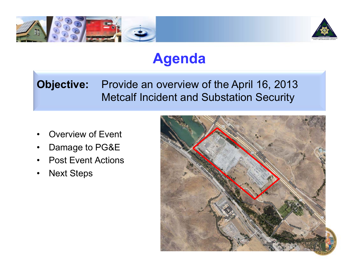



#### **Agenda**

#### **Objective:** Provide an overview of the April 16, 2013 Metcalf Incident and Substation Security

- Overview of Event
- Damage to PG&E
- Post Event Actions
- **Next Steps**

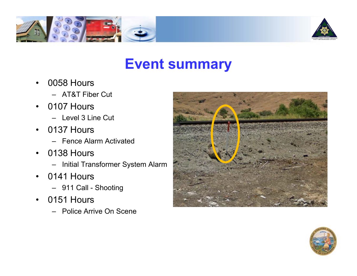



#### **Event summary**

- 0058 Hours
	- AT&T Fiber Cut
- 0107 Hours
	- Level 3 Line Cut
- 0137 Hours
	- Fence Alarm Activated
- 0138 Hours
	- Initial Transformer System Alarm
- 0141 Hours
	- 911 Call Shooting
- 0151 Hours
	- Police Arrive On Scene



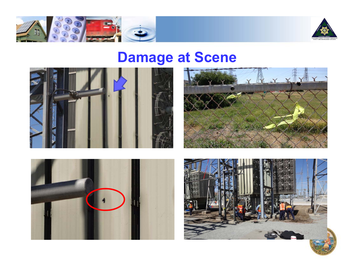



## **Damage at Scene**







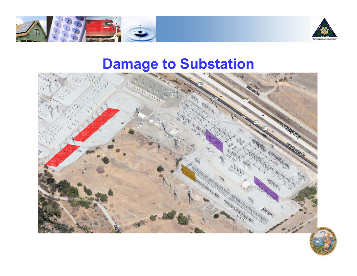



#### **Damage to Substation**



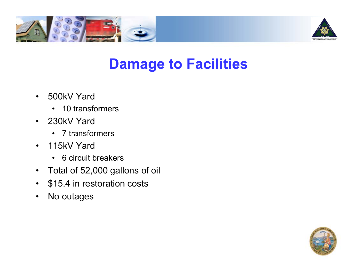



#### **Damage to Facilities**

- 500kV Yard
	- 10 transformers
- 230kV Yard
	- 7 transformers
- 115kV Yard
	- 6 circuit breakers
- Total of 52,000 gallons of oil
- \$15.4 in restoration costs
- No outages

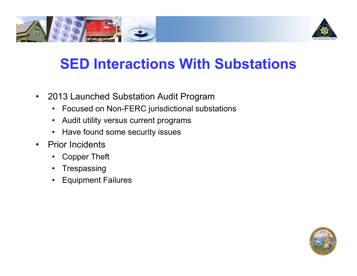



### **SED Interactions With Substations**

- 2013 Launched Substation Audit Program
	- Focused on Non-FERC jurisdictional substations
	- Audit utility versus current programs
	- Have found some security issues
- Prior Incidents
	- Copper Theft
	- Trespassing
	- Equipment Failures

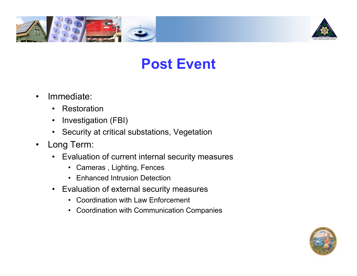



#### **Post Event**

- Immediate:
	- Restoration
	- Investigation (FBI)
	- Security at critical substations, Vegetation
- Long Term:
	- Evaluation of current internal security measures
		- Cameras , Lighting, Fences
		- Enhanced Intrusion Detection
	- Evaluation of external security measures
		- Coordination with Law Enforcement
		- Coordination with Communication Companies